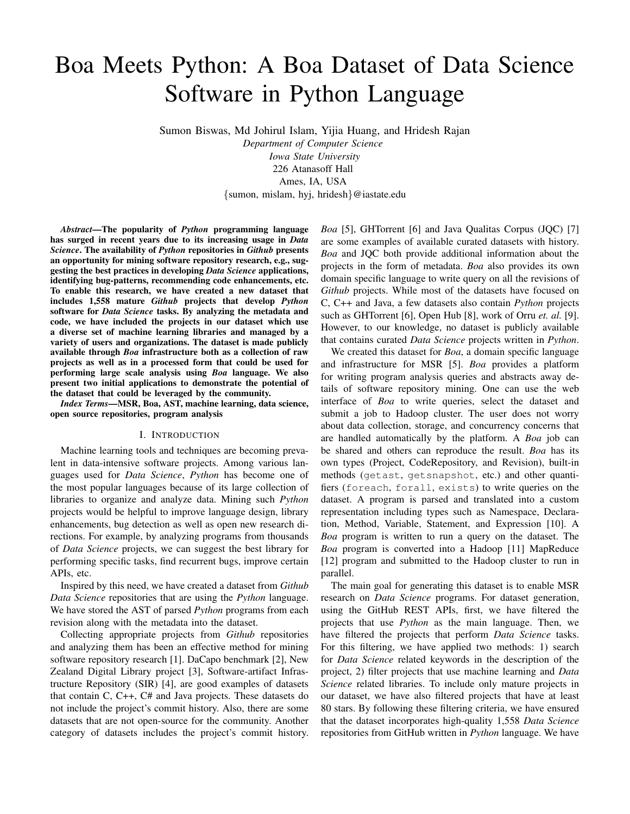# Boa Meets Python: A Boa Dataset of Data Science Software in Python Language

Sumon Biswas, Md Johirul Islam, Yijia Huang, and Hridesh Rajan

*Department of Computer Science Iowa State University* 226 Atanasoff Hall Ames, IA, USA {sumon, mislam, hyj, hridesh}@iastate.edu

*Abstract*—The popularity of *Python* programming language has surged in recent years due to its increasing usage in *Data Science*. The availability of *Python* repositories in *Github* presents an opportunity for mining software repository research, e.g., suggesting the best practices in developing *Data Science* applications, identifying bug-patterns, recommending code enhancements, etc. To enable this research, we have created a new dataset that includes 1,558 mature *Github* projects that develop *Python* software for *Data Science* tasks. By analyzing the metadata and code, we have included the projects in our dataset which use a diverse set of machine learning libraries and managed by a variety of users and organizations. The dataset is made publicly available through *Boa* infrastructure both as a collection of raw projects as well as in a processed form that could be used for performing large scale analysis using *Boa* language. We also present two initial applications to demonstrate the potential of the dataset that could be leveraged by the community.

*Index Terms*—MSR, Boa, AST, machine learning, data science, open source repositories, program analysis

#### I. INTRODUCTION

Machine learning tools and techniques are becoming prevalent in data-intensive software projects. Among various languages used for *Data Science*, *Python* has become one of the most popular languages because of its large collection of libraries to organize and analyze data. Mining such *Python* projects would be helpful to improve language design, library enhancements, bug detection as well as open new research directions. For example, by analyzing programs from thousands of *Data Science* projects, we can suggest the best library for performing specific tasks, find recurrent bugs, improve certain APIs, etc.

Inspired by this need, we have created a dataset from *Github Data Science* repositories that are using the *Python* language. We have stored the AST of parsed *Python* programs from each revision along with the metadata into the dataset.

Collecting appropriate projects from *Github* repositories and analyzing them has been an effective method for mining software repository research [1]. DaCapo benchmark [2], New Zealand Digital Library project [3], Software-artifact Infrastructure Repository (SIR) [4], are good examples of datasets that contain C, C++, C# and Java projects. These datasets do not include the project's commit history. Also, there are some datasets that are not open-source for the community. Another category of datasets includes the project's commit history. *Boa* [5], GHTorrent [6] and Java Qualitas Corpus (JQC) [7] are some examples of available curated datasets with history. *Boa* and JQC both provide additional information about the projects in the form of metadata. *Boa* also provides its own domain specific language to write query on all the revisions of *Github* projects. While most of the datasets have focused on C, C++ and Java, a few datasets also contain *Python* projects such as GHTorrent [6], Open Hub [8], work of Orru *et. al.* [9]. However, to our knowledge, no dataset is publicly available that contains curated *Data Science* projects written in *Python*.

We created this dataset for *Boa*, a domain specific language and infrastructure for MSR [5]. *Boa* provides a platform for writing program analysis queries and abstracts away details of software repository mining. One can use the web interface of *Boa* to write queries, select the dataset and submit a job to Hadoop cluster. The user does not worry about data collection, storage, and concurrency concerns that are handled automatically by the platform. A *Boa* job can be shared and others can reproduce the result. *Boa* has its own types (Project, CodeRepository, and Revision), built-in methods (getast, getsnapshot, etc.) and other quantifiers (foreach, forall, exists) to write queries on the dataset. A program is parsed and translated into a custom representation including types such as Namespace, Declaration, Method, Variable, Statement, and Expression [10]. A *Boa* program is written to run a query on the dataset. The *Boa* program is converted into a Hadoop [11] MapReduce [12] program and submitted to the Hadoop cluster to run in parallel.

The main goal for generating this dataset is to enable MSR research on *Data Science* programs. For dataset generation, using the GitHub REST APIs, first, we have filtered the projects that use *Python* as the main language. Then, we have filtered the projects that perform *Data Science* tasks. For this filtering, we have applied two methods: 1) search for *Data Science* related keywords in the description of the project, 2) filter projects that use machine learning and *Data Science* related libraries. To include only mature projects in our dataset, we have also filtered projects that have at least 80 stars. By following these filtering criteria, we have ensured that the dataset incorporates high-quality 1,558 *Data Science* repositories from GitHub written in *Python* language. We have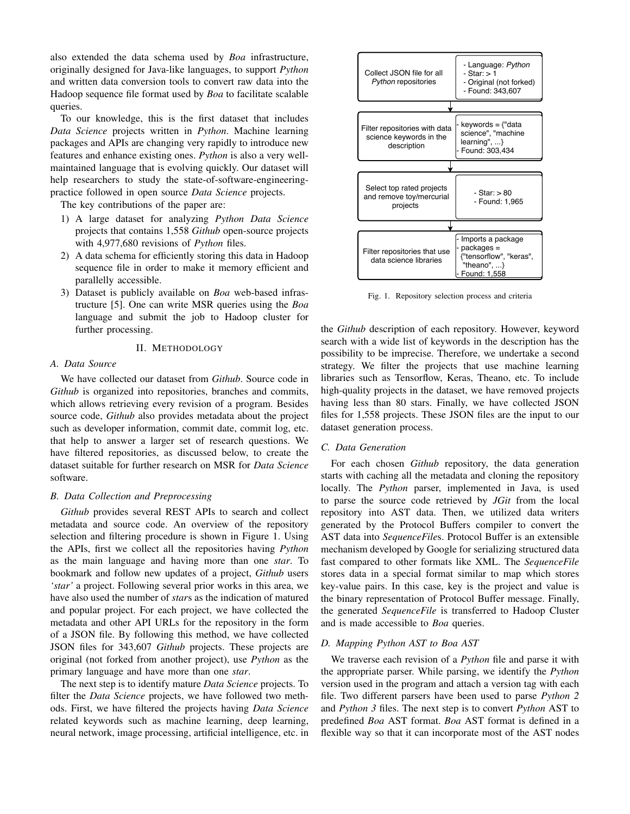also extended the data schema used by *Boa* infrastructure, originally designed for Java-like languages, to support *Python* and written data conversion tools to convert raw data into the Hadoop sequence file format used by *Boa* to facilitate scalable queries.

To our knowledge, this is the first dataset that includes *Data Science* projects written in *Python*. Machine learning packages and APIs are changing very rapidly to introduce new features and enhance existing ones. *Python* is also a very wellmaintained language that is evolving quickly. Our dataset will help researchers to study the state-of-software-engineeringpractice followed in open source *Data Science* projects.

The key contributions of the paper are:

- 1) A large dataset for analyzing *Python Data Science* projects that contains 1,558 *Github* open-source projects with 4,977,680 revisions of *Python* files.
- 2) A data schema for efficiently storing this data in Hadoop sequence file in order to make it memory efficient and parallelly accessible.
- 3) Dataset is publicly available on *Boa* web-based infrastructure [5]. One can write MSR queries using the *Boa* language and submit the job to Hadoop cluster for further processing.

# II. METHODOLOGY

# *A. Data Source*

We have collected our dataset from *Github*. Source code in *Github* is organized into repositories, branches and commits, which allows retrieving every revision of a program. Besides source code, *Github* also provides metadata about the project such as developer information, commit date, commit log, etc. that help to answer a larger set of research questions. We have filtered repositories, as discussed below, to create the dataset suitable for further research on MSR for *Data Science* software.

# *B. Data Collection and Preprocessing*

*Github* provides several REST APIs to search and collect metadata and source code. An overview of the repository selection and filtering procedure is shown in Figure 1. Using the APIs, first we collect all the repositories having *Python* as the main language and having more than one *star*. To bookmark and follow new updates of a project, *Github* users *'star'* a project. Following several prior works in this area, we have also used the number of *star*s as the indication of matured and popular project. For each project, we have collected the metadata and other API URLs for the repository in the form of a JSON file. By following this method, we have collected JSON files for 343,607 *Github* projects. These projects are original (not forked from another project), use *Python* as the primary language and have more than one *star*.

The next step is to identify mature *Data Science* projects. To filter the *Data Science* projects, we have followed two methods. First, we have filtered the projects having *Data Science* related keywords such as machine learning, deep learning, neural network, image processing, artificial intelligence, etc. in



Fig. 1. Repository selection process and criteria

the *Github* description of each repository. However, keyword search with a wide list of keywords in the description has the possibility to be imprecise. Therefore, we undertake a second strategy. We filter the projects that use machine learning libraries such as Tensorflow, Keras, Theano, etc. To include high-quality projects in the dataset, we have removed projects having less than 80 stars. Finally, we have collected JSON files for 1,558 projects. These JSON files are the input to our dataset generation process.

# *C. Data Generation*

For each chosen *Github* repository, the data generation starts with caching all the metadata and cloning the repository locally. The *Python* parser, implemented in Java, is used to parse the source code retrieved by *JGit* from the local repository into AST data. Then, we utilized data writers generated by the Protocol Buffers compiler to convert the AST data into *SequenceFile*s. Protocol Buffer is an extensible mechanism developed by Google for serializing structured data fast compared to other formats like XML. The *SequenceFile* stores data in a special format similar to map which stores key-value pairs. In this case, key is the project and value is the binary representation of Protocol Buffer message. Finally, the generated *SequenceFile* is transferred to Hadoop Cluster and is made accessible to *Boa* queries.

# *D. Mapping Python AST to Boa AST*

We traverse each revision of a *Python* file and parse it with the appropriate parser. While parsing, we identify the *Python* version used in the program and attach a version tag with each file. Two different parsers have been used to parse *Python 2* and *Python 3* files. The next step is to convert *Python* AST to predefined *Boa* AST format. *Boa* AST format is defined in a flexible way so that it can incorporate most of the AST nodes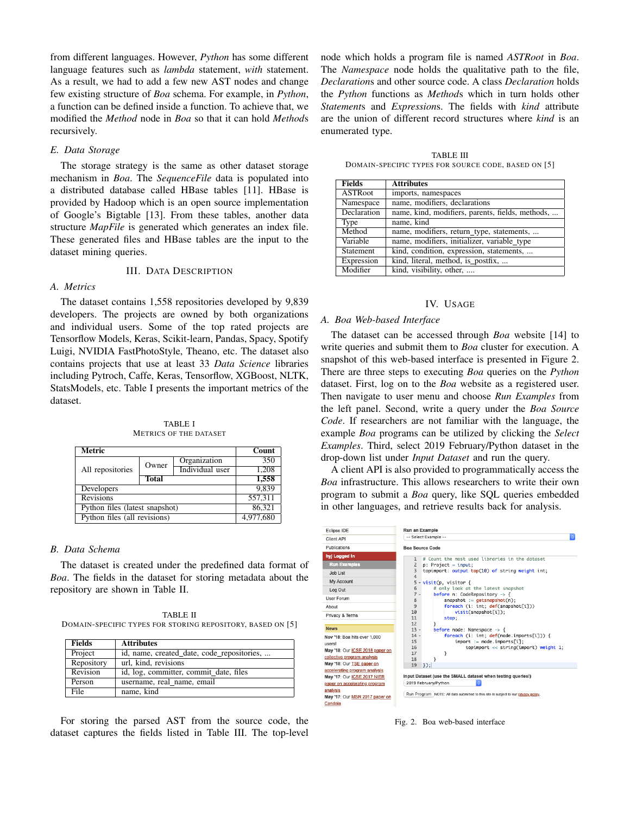from different languages. However, *Python* has some different language features such as *lambda* statement, *with* statement. As a result, we had to add a few new AST nodes and change few existing structure of *Boa* schema. For example, in *Python*, a function can be defined inside a function. To achieve that, we modified the *Method* node in *Boa* so that it can hold *Method*s recursively.

#### *E. Data Storage*

The storage strategy is the same as other dataset storage mechanism in *Boa*. The *SequenceFile* data is populated into a distributed database called HBase tables [11]. HBase is provided by Hadoop which is an open source implementation of Google's Bigtable [13]. From these tables, another data structure *MapFile* is generated which generates an index file. These generated files and HBase tables are the input to the dataset mining queries.

# III. DATA DESCRIPTION

# *A. Metrics*

The dataset contains 1,558 repositories developed by 9,839 developers. The projects are owned by both organizations and individual users. Some of the top rated projects are Tensorflow Models, Keras, Scikit-learn, Pandas, Spacy, Spotify Luigi, NVIDIA FastPhotoStyle, Theano, etc. The dataset also contains projects that use at least 33 *Data Science* libraries including Pytroch, Caffe, Keras, Tensorflow, XGBoost, NLTK, StatsModels, etc. Table I presents the important metrics of the dataset.

TABLE I METRICS OF THE DATASET

| Metric                         |              |                 | Count     |
|--------------------------------|--------------|-----------------|-----------|
| All repositories               | Owner        | Organization    | 350       |
|                                |              | Individual user | 1,208     |
|                                | <b>Total</b> |                 | 1,558     |
| Developers                     |              |                 | 9.839     |
| <b>Revisions</b>               |              |                 | 557,311   |
| Python files (latest snapshot) |              |                 | 86.321    |
| Python files (all revisions)   |              |                 | 4,977,680 |

# *B. Data Schema*

The dataset is created under the predefined data format of *Boa*. The fields in the dataset for storing metadata about the repository are shown in Table II.

TABLE II DOMAIN-SPECIFIC TYPES FOR STORING REPOSITORY, BASED ON [5]

| <b>Fields</b> | <b>Attributes</b>                          |
|---------------|--------------------------------------------|
| Project       | id, name, created date, code repositories, |
| Repository    | url. kind. revisions                       |
| Revision      | id, log, committer, commit date, files     |
| Person        | username, real name, email                 |
| <b>File</b>   | name, kind                                 |

For storing the parsed AST from the source code, the dataset captures the fields listed in Table III. The top-level node which holds a program file is named *ASTRoot* in *Boa*. The *Namespace* node holds the qualitative path to the file, *Declaration*s and other source code. A class *Declaration* holds the *Python* functions as *Method*s which in turn holds other *Statement*s and *Expression*s. The fields with *kind* attribute are the union of different record structures where *kind* is an enumerated type.

TABLE III DOMAIN-SPECIFIC TYPES FOR SOURCE CODE, BASED ON [5]

| <b>Fields</b>  | <b>Attributes</b>                                |
|----------------|--------------------------------------------------|
| <b>ASTRoot</b> | imports, namespaces                              |
| Namespace      | name, modifiers, declarations                    |
| Declaration    | name, kind, modifiers, parents, fields, methods, |
| Type           | name, kind                                       |
| Method         | name, modifiers, return_type, statements,        |
| Variable       | name, modifiers, initializer, variable_type      |
| Statement      | kind, condition, expression, statements,         |
| Expression     | kind, literal, method, is postfix,               |
| Modifier       | kind, visibility, other,                         |

#### IV. USAGE

#### *A. Boa Web-based Interface*

The dataset can be accessed through *Boa* website [14] to write queries and submit them to *Boa* cluster for execution. A snapshot of this web-based interface is presented in Figure 2. There are three steps to executing *Boa* queries on the *Python* dataset. First, log on to the *Boa* website as a registered user. Then navigate to user menu and choose *Run Examples* from the left panel. Second, write a query under the *Boa Source Code*. If researchers are not familiar with the language, the example *Boa* programs can be utilized by clicking the *Select Examples*. Third, select 2019 February/Python dataset in the drop-down list under *Input Dataset* and run the query.

A client API is also provided to programmatically access the *Boa* infrastructure. This allows researchers to write their own program to submit a *Boa* query, like SQL queries embedded in other languages, and retrieve results back for analysis.

| Eclipse IDE                                                                                                                                            | Run an Example                                                                                                                                                                                                                                                                                                                                                                                           |  |  |
|--------------------------------------------------------------------------------------------------------------------------------------------------------|----------------------------------------------------------------------------------------------------------------------------------------------------------------------------------------------------------------------------------------------------------------------------------------------------------------------------------------------------------------------------------------------------------|--|--|
| Client API                                                                                                                                             | $\ddot{\circ}$<br>-- Select Example --                                                                                                                                                                                                                                                                                                                                                                   |  |  |
| Publications                                                                                                                                           | <b>Boa Source Code</b>                                                                                                                                                                                                                                                                                                                                                                                   |  |  |
| hyj Logged In<br><b>Run Examples</b><br>Job List<br>My Account<br>Log Out<br><b>User Forum</b><br>About                                                | # Count the most used libraries in the dataset<br>$\mathbf{1}$<br>$\mathsf{Z}$<br>$p:$ Project = input:<br>3<br>topimport: output top(10) of string weight int;<br>4<br>5<br>visit(p. visitor {<br># only look at the latest snapshot<br>6<br>$7 -$<br>before $n$ : CodeRepository -> {<br>8<br>$snapshot := getsnapshot(n);$<br>9<br>foreach (i: int; def(snapshot[i]))<br>10<br>$visit(snapshot[i])$ ; |  |  |
| Privacy & Terms<br><b>News</b><br>Nov '18: Boa hits over 1,000                                                                                         | 11<br>stop;<br>12<br>before node: Namespace $\rightarrow$ {<br>$13 -$<br>foreach (i: int; def(node.imports[i])) {<br>$14 -$                                                                                                                                                                                                                                                                              |  |  |
| users!<br>May '18: Our ICSE 2018 paper on<br>collective program analysis                                                                               | 15<br>$import := node imports[i];$<br>16<br>topimport $\ll$ string(import) weight 1;<br>17<br>7<br>18<br>λ                                                                                                                                                                                                                                                                                               |  |  |
| May '18: Our TSE paper on                                                                                                                              | 19<br>$\}$ :                                                                                                                                                                                                                                                                                                                                                                                             |  |  |
| accelerating program analysis<br>May '17: Our ICSE 2017 NIER<br>paper on accelerating program<br>analysis<br>May '17: Our MSR 2017 paper on<br>Candoia | Input Dataset (use the SMALL dataset when testing queries!)<br>2019 February/Python<br>Ó<br>Run Program NOTE: All data submitted to this site is subject to our privacy policy.                                                                                                                                                                                                                          |  |  |

Fig. 2. Boa web-based interface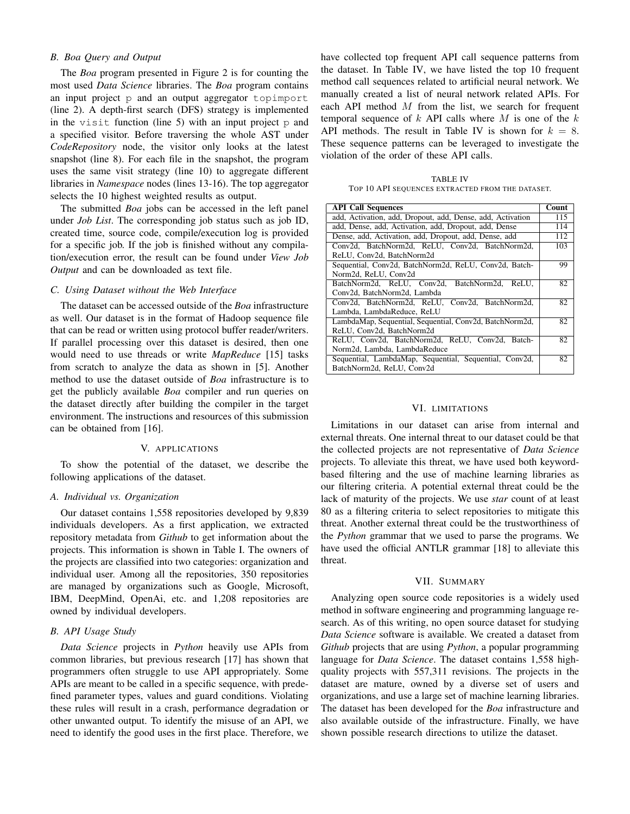# *B. Boa Query and Output*

The *Boa* program presented in Figure 2 is for counting the most used *Data Science* libraries. The *Boa* program contains an input project p and an output aggregator topimport (line 2). A depth-first search (DFS) strategy is implemented in the visit function (line 5) with an input project  $p$  and a specified visitor. Before traversing the whole AST under *CodeRepository* node, the visitor only looks at the latest snapshot (line 8). For each file in the snapshot, the program uses the same visit strategy (line 10) to aggregate different libraries in *Namespace* nodes (lines 13-16). The top aggregator selects the 10 highest weighted results as output.

The submitted *Boa* jobs can be accessed in the left panel under *Job List*. The corresponding job status such as job ID, created time, source code, compile/execution log is provided for a specific job. If the job is finished without any compilation/execution error, the result can be found under *View Job Output* and can be downloaded as text file.

#### *C. Using Dataset without the Web Interface*

The dataset can be accessed outside of the *Boa* infrastructure as well. Our dataset is in the format of Hadoop sequence file that can be read or written using protocol buffer reader/writers. If parallel processing over this dataset is desired, then one would need to use threads or write *MapReduce* [15] tasks from scratch to analyze the data as shown in [5]. Another method to use the dataset outside of *Boa* infrastructure is to get the publicly available *Boa* compiler and run queries on the dataset directly after building the compiler in the target environment. The instructions and resources of this submission can be obtained from [16].

# V. APPLICATIONS

To show the potential of the dataset, we describe the following applications of the dataset.

## *A. Individual vs. Organization*

Our dataset contains 1,558 repositories developed by 9,839 individuals developers. As a first application, we extracted repository metadata from *Github* to get information about the projects. This information is shown in Table I. The owners of the projects are classified into two categories: organization and individual user. Among all the repositories, 350 repositories are managed by organizations such as Google, Microsoft, IBM, DeepMind, OpenAi, etc. and 1,208 repositories are owned by individual developers.

#### *B. API Usage Study*

*Data Science* projects in *Python* heavily use APIs from common libraries, but previous research [17] has shown that programmers often struggle to use API appropriately. Some APIs are meant to be called in a specific sequence, with predefined parameter types, values and guard conditions. Violating these rules will result in a crash, performance degradation or other unwanted output. To identify the misuse of an API, we need to identify the good uses in the first place. Therefore, we have collected top frequent API call sequence patterns from the dataset. In Table IV, we have listed the top 10 frequent method call sequences related to artificial neural network. We manually created a list of neural network related APIs. For each API method  $M$  from the list, we search for frequent temporal sequence of  $k$  API calls where  $M$  is one of the  $k$ API methods. The result in Table IV is shown for  $k = 8$ . These sequence patterns can be leveraged to investigate the violation of the order of these API calls.

TABLE IV TOP 10 API SEQUENCES EXTRACTED FROM THE DATASET.

| <b>API Call Sequences</b>                                  | Count |  |
|------------------------------------------------------------|-------|--|
| add, Activation, add, Dropout, add, Dense, add, Activation |       |  |
| add, Dense, add, Activation, add, Dropout, add, Dense      |       |  |
| Dense, add, Activation, add, Dropout, add, Dense, add      |       |  |
| Conv2d, BatchNorm2d, ReLU, Conv2d, BatchNorm2d,            | 103   |  |
| ReLU, Conv2d, BatchNorm2d                                  |       |  |
| Sequential, Conv2d, BatchNorm2d, ReLU, Conv2d, Batch-      | 99    |  |
| Norm2d, ReLU, Conv2d                                       |       |  |
| BatchNorm2d, ReLU, Conv2d, BatchNorm2d, ReLU,              | 82    |  |
| Conv2d, BatchNorm2d, Lambda                                |       |  |
| Conv2d, BatchNorm2d, ReLU, Conv2d, BatchNorm2d,            | 82    |  |
| Lambda, LambdaReduce, ReLU                                 |       |  |
| LambdaMap, Sequential, Sequential, Conv2d, BatchNorm2d,    | 82    |  |
| ReLU, Conv2d, BatchNorm2d                                  |       |  |
| ReLU, Conv2d, BatchNorm2d, ReLU, Conv2d, Batch-            | 82    |  |
| Norm2d, Lambda, LambdaReduce                               |       |  |
| Sequential, LambdaMap, Sequential, Sequential, Conv2d,     | 82    |  |
| BatchNorm2d, ReLU, Conv2d                                  |       |  |

#### VI. LIMITATIONS

Limitations in our dataset can arise from internal and external threats. One internal threat to our dataset could be that the collected projects are not representative of *Data Science* projects. To alleviate this threat, we have used both keywordbased filtering and the use of machine learning libraries as our filtering criteria. A potential external threat could be the lack of maturity of the projects. We use *star* count of at least 80 as a filtering criteria to select repositories to mitigate this threat. Another external threat could be the trustworthiness of the *Python* grammar that we used to parse the programs. We have used the official ANTLR grammar [18] to alleviate this threat.

#### VII. SUMMARY

Analyzing open source code repositories is a widely used method in software engineering and programming language research. As of this writing, no open source dataset for studying *Data Science* software is available. We created a dataset from *Github* projects that are using *Python*, a popular programming language for *Data Science*. The dataset contains 1,558 highquality projects with 557,311 revisions. The projects in the dataset are mature, owned by a diverse set of users and organizations, and use a large set of machine learning libraries. The dataset has been developed for the *Boa* infrastructure and also available outside of the infrastructure. Finally, we have shown possible research directions to utilize the dataset.